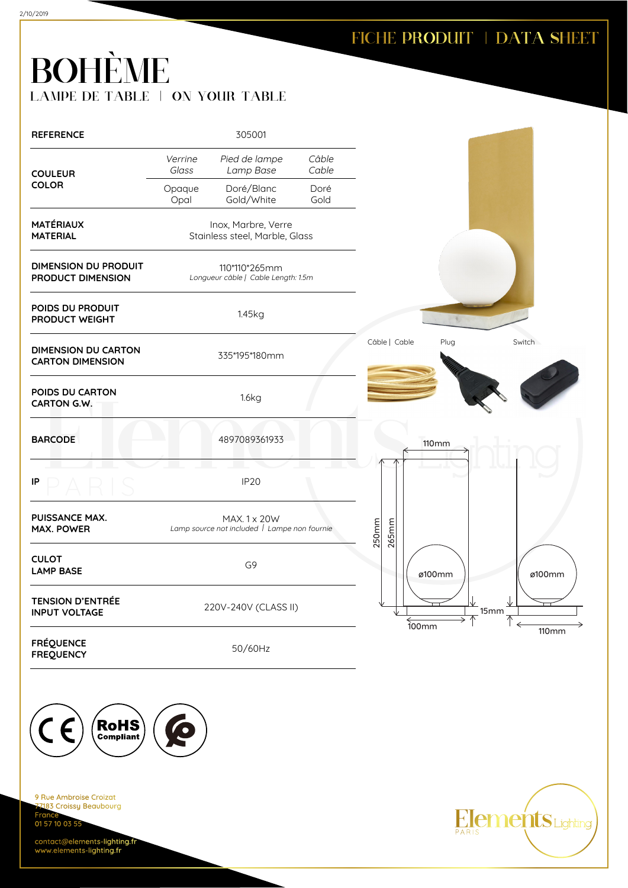# BOHÈME LAMPE DE TABLE | ON YOUR TABLE

| <b>REFERENCE</b>                                      |                  | 305001                                                       |                |                       |                    |
|-------------------------------------------------------|------------------|--------------------------------------------------------------|----------------|-----------------------|--------------------|
| <b>COULEUR</b>                                        | Verrine<br>Glass | Pied de lampe<br>Lamp Base                                   | Câble<br>Cable |                       |                    |
| <b>COLOR</b>                                          | Opaque<br>Opal   | Doré/Blanc<br>Gold/White                                     | Doré<br>Gold   |                       |                    |
| <b>MATÉRIAUX</b><br><b>MATERIAL</b>                   |                  | Inox, Marbre, Verre<br>Stainless steel, Marble, Glass        |                |                       |                    |
| <b>DIMENSION DU PRODUIT</b><br>PRODUCT DIMENSION      |                  | 110*110*265mm<br>Longueur câble   Cable Length: 1.5m         |                |                       |                    |
| POIDS DU PRODUIT<br>PRODUCT WEIGHT                    |                  | 1.45kg                                                       |                |                       |                    |
| <b>DIMENSION DU CARTON</b><br><b>CARTON DIMENSION</b> |                  | 335*195*180mm                                                |                | Câble   Cable<br>Plug | Switch             |
| POIDS DU CARTON<br>CARTON G.W.                        |                  | 1.6kg                                                        |                |                       |                    |
| <b>BARCODE</b>                                        |                  | 4897089361933                                                |                | <b>110mm</b>          |                    |
| IP                                                    |                  | <b>IP20</b>                                                  |                |                       |                    |
| PUISSANCE MAX.<br><b>MAX. POWER</b>                   |                  | MAX. 1 x 20W<br>Lamp source not included   Lampe non fournie |                | 250mm<br>265mm        |                    |
| <b>CULOT</b><br><b>LAMP BASE</b>                      |                  | G9                                                           |                | ø100mm                | ø100mm             |
| <b>TENSION D'ENTRÉE</b><br><b>INPUT VOLTAGE</b>       |                  | 220V-240V (CLASS II)                                         |                | $\frac{2}{100mm}$     | $\frac{1}{2}$ 15mm |
| <b>FRÉQUENCE</b><br><b>FREQUENCY</b>                  |                  | 50/60Hz                                                      |                |                       | <b>110mm</b>       |



9 Rue Ambroise Croizat nes Almerence<br><mark>183 Croissy Beaubourg</mark> **France** 01 57 10 03 55

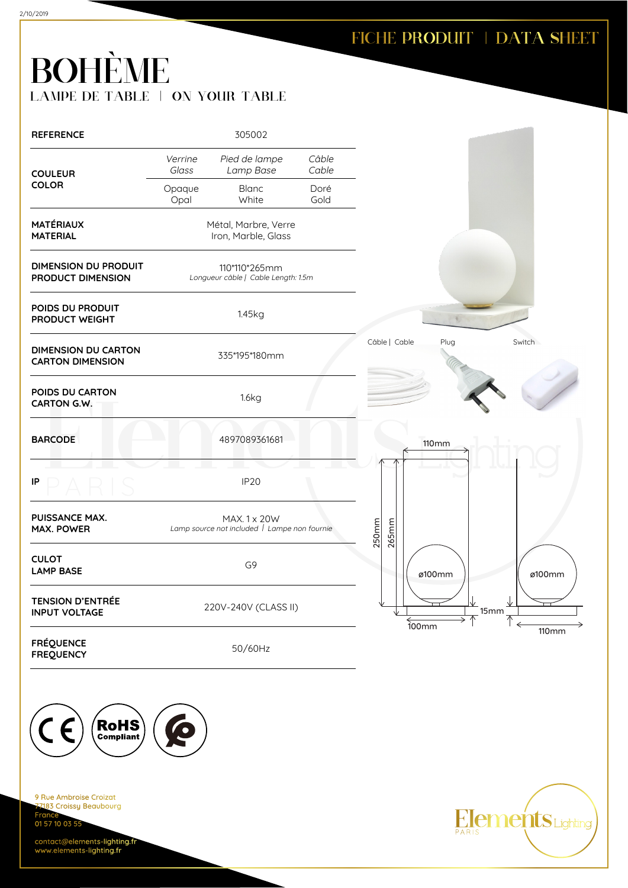# BOHÈME LAMPE DE TABLE | ON YOUR TABLE

| <b>REFERENCE</b>                                      |                  | 305002                                                                    |                |                       |              |
|-------------------------------------------------------|------------------|---------------------------------------------------------------------------|----------------|-----------------------|--------------|
| <b>COULEUR</b>                                        | Verrine<br>Glass | Pied de lampe<br>Lamp Base                                                | Câble<br>Cable |                       |              |
| <b>COLOR</b>                                          | Opaque<br>Opal   | <b>Blanc</b><br>White                                                     | Doré<br>Gold   |                       |              |
| <b>MATÉRIAUX</b><br><b>MATERIAL</b>                   |                  | Métal, Marbre, Verre<br>Iron, Marble, Glass                               |                |                       |              |
| <b>DIMENSION DU PRODUIT</b><br>PRODUCT DIMENSION      |                  | 110*110*265mm<br>Longueur câble   Cable Length: 1.5m                      |                |                       |              |
| POIDS DU PRODUIT<br>PRODUCT WEIGHT                    |                  | 1.45kg                                                                    |                |                       |              |
| <b>DIMENSION DU CARTON</b><br><b>CARTON DIMENSION</b> |                  | 335*195*180mm                                                             |                | Câble   Cable<br>Plug | Switch       |
| POIDS DU CARTON<br>CARTON G.W.                        |                  | 1.6kg                                                                     |                |                       |              |
| <b>BARCODE</b>                                        |                  | 4897089361681                                                             |                | <b>110mm</b>          |              |
| IP                                                    |                  | <b>IP20</b>                                                               |                |                       |              |
| PUISSANCE MAX.<br><b>MAX. POWER</b>                   |                  | MAX. 1 x 20W<br>Lamp source not included $\overline{I}$ Lampe non fournie |                | 250mm<br>265mm        |              |
| <b>CULOT</b><br><b>LAMP BASE</b>                      |                  | G9                                                                        |                | ø100mm                | ø100mm       |
| <b>TENSION D'ENTRÉE</b><br><b>INPUT VOLTAGE</b>       |                  | 220V-240V (CLASS II)                                                      |                | $\overline{100mm}$    | 15mm         |
| <b>FRÉQUENCE</b><br><b>FREQUENCY</b>                  |                  | 50/60Hz                                                                   |                |                       | <b>110mm</b> |



9 Rue Ambroise Croizat nes Almerence<br><mark>183 Croissy Beaubourg</mark> **France** 01 57 10 03 55

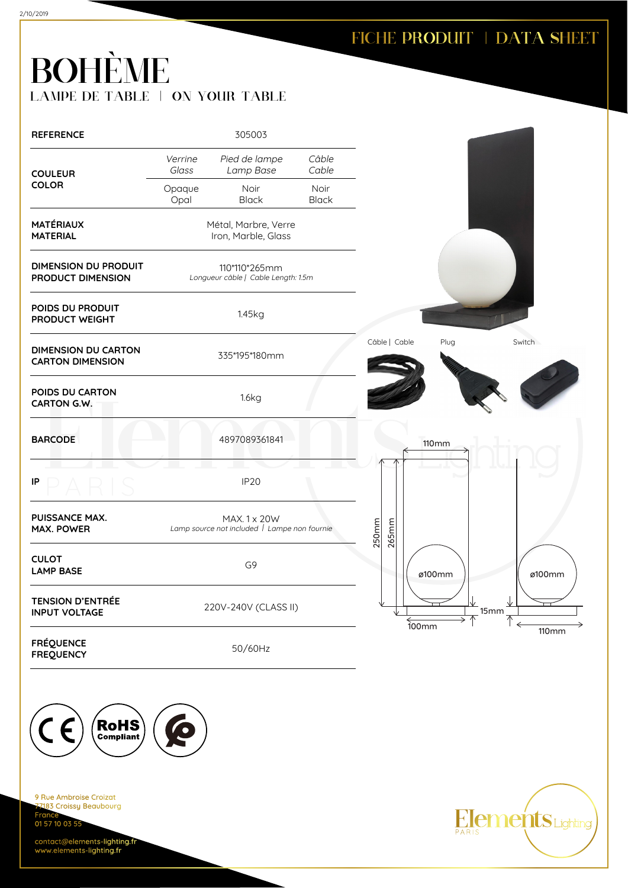#### FICHE PRODUIT | DATA SHEET

# BOHÈME LAMPE DE TABLE | ON YOUR TABLE

| <b>REFERENCE</b>                                      |                  | 305003                                                       |                      |                |                     |                    |
|-------------------------------------------------------|------------------|--------------------------------------------------------------|----------------------|----------------|---------------------|--------------------|
| <b>COULEUR</b>                                        | Verrine<br>Glass | Pied de lampe<br>Lamp Base                                   | Câble<br>Cable       |                |                     |                    |
| <b>COLOR</b>                                          | Opaque<br>Opal   | <b>Noir</b><br><b>Black</b>                                  | Noir<br><b>Black</b> |                |                     |                    |
| <b>MATÉRIAUX</b><br><b>MATERIAL</b>                   |                  | Métal, Marbre, Verre<br>Iron, Marble, Glass                  |                      |                |                     |                    |
| <b>DIMENSION DU PRODUIT</b><br>PRODUCT DIMENSION      |                  | 110*110*265mm<br>Longueur câble   Cable Length: 1.5m         |                      |                |                     |                    |
| POIDS DU PRODUIT<br>PRODUCT WEIGHT                    |                  | 1.45kg                                                       |                      |                |                     |                    |
| <b>DIMENSION DU CARTON</b><br><b>CARTON DIMENSION</b> |                  | 335*195*180mm                                                |                      | Câble   Cable  | Plug                | Switch             |
| POIDS DU CARTON<br>CARTON G.W.                        |                  | 1.6kg                                                        |                      |                |                     |                    |
| <b>BARCODE</b>                                        |                  | 4897089361841                                                |                      |                | <b>110mm</b>        |                    |
| IP                                                    |                  | <b>IP20</b>                                                  |                      |                |                     |                    |
| PUISSANCE MAX.<br><b>MAX. POWER</b>                   |                  | MAX. 1 x 20W<br>Lamp source not included   Lampe non fournie |                      | 250mm<br>265mm |                     |                    |
| <b>CULOT</b><br><b>LAMP BASE</b>                      |                  | G9                                                           |                      |                | ø100mm              | ø100mm             |
| <b>TENSION D'ENTRÉE</b><br><b>INPUT VOLTAGE</b>       |                  | 220V-240V (CLASS II)                                         |                      |                | $\overline{100}$ mm | $\frac{1}{2}$ 15mm |
| <b>FRÉQUENCE</b><br><b>FREQUENCY</b>                  |                  | 50/60Hz                                                      |                      |                |                     | <b>110mm</b>       |



9 Rue Ambroise Croizat nes Almerence<br><mark>183 Croissy Beaubourg</mark> **France** 01 57 10 03 55